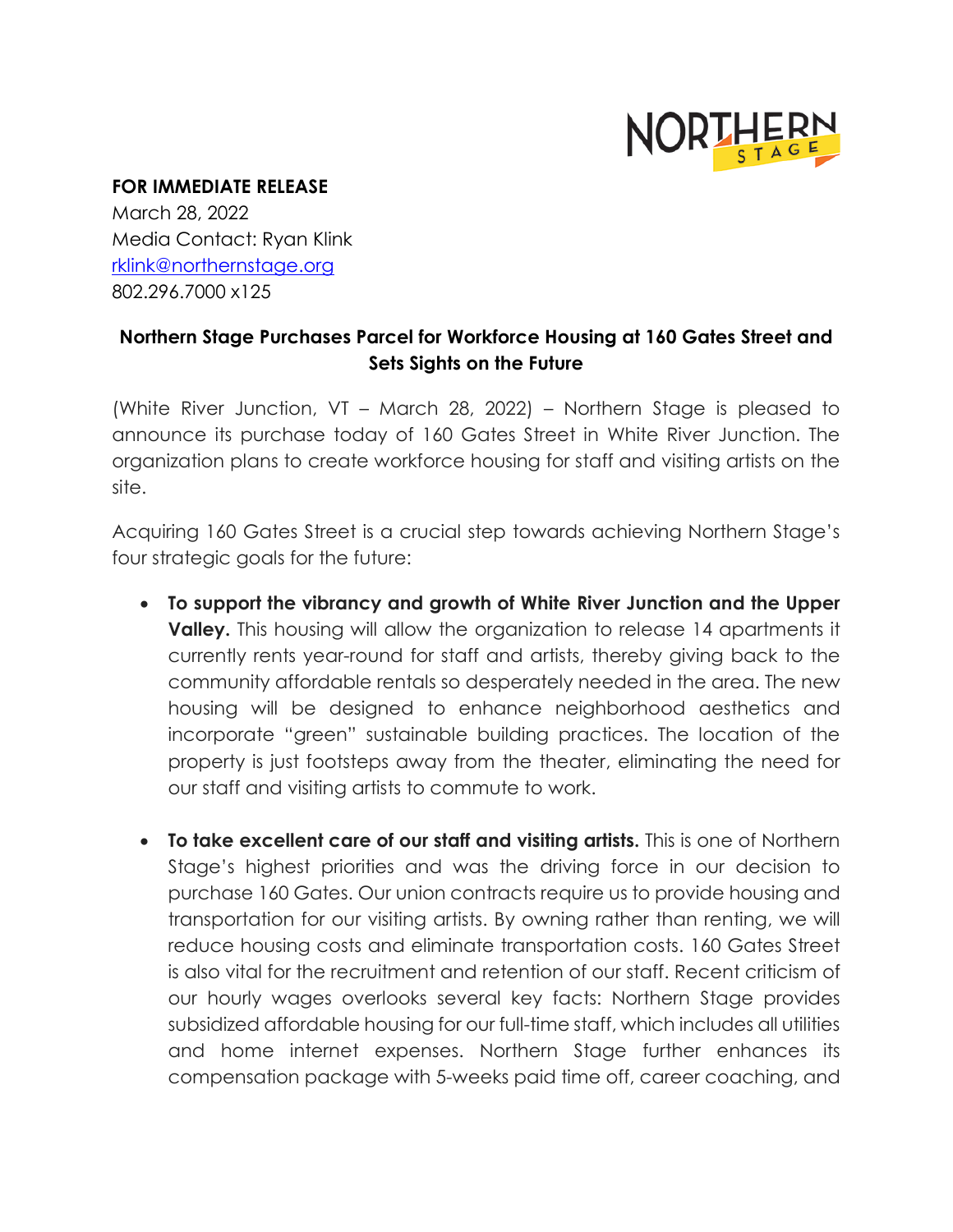

## **FOR IMMEDIATE RELEASE**

March 28, 2022 Media Contact: Ryan Klink [rklink@northernstage.org](mailto:rklink@northernstage.org) 802.296.7000 x125

## **Northern Stage Purchases Parcel for Workforce Housing at 160 Gates Street and Sets Sights on the Future**

(White River Junction, VT – March 28, 2022) – Northern Stage is pleased to announce its purchase today of 160 Gates Street in White River Junction. The organization plans to create workforce housing for staff and visiting artists on the site.

Acquiring 160 Gates Street is a crucial step towards achieving Northern Stage's four strategic goals for the future:

- **To support the vibrancy and growth of White River Junction and the Upper Valley.** This housing will allow the organization to release 14 apartments it currently rents year-round for staff and artists, thereby giving back to the community affordable rentals so desperately needed in the area. The new housing will be designed to enhance neighborhood aesthetics and incorporate "green" sustainable building practices. The location of the property is just footsteps away from the theater, eliminating the need for our staff and visiting artists to commute to work.
- **To take excellent care of our staff and visiting artists.** This is one of Northern Stage's highest priorities and was the driving force in our decision to purchase 160 Gates. Our union contracts require us to provide housing and transportation for our visiting artists. By owning rather than renting, we will reduce housing costs and eliminate transportation costs. 160 Gates Street is also vital for the recruitment and retention of our staff. Recent criticism of our hourly wages overlooks several key facts: Northern Stage provides subsidized affordable housing for our full-time staff, which includes all utilities and home internet expenses. Northern Stage further enhances its compensation package with 5-weeks paid time off, career coaching, and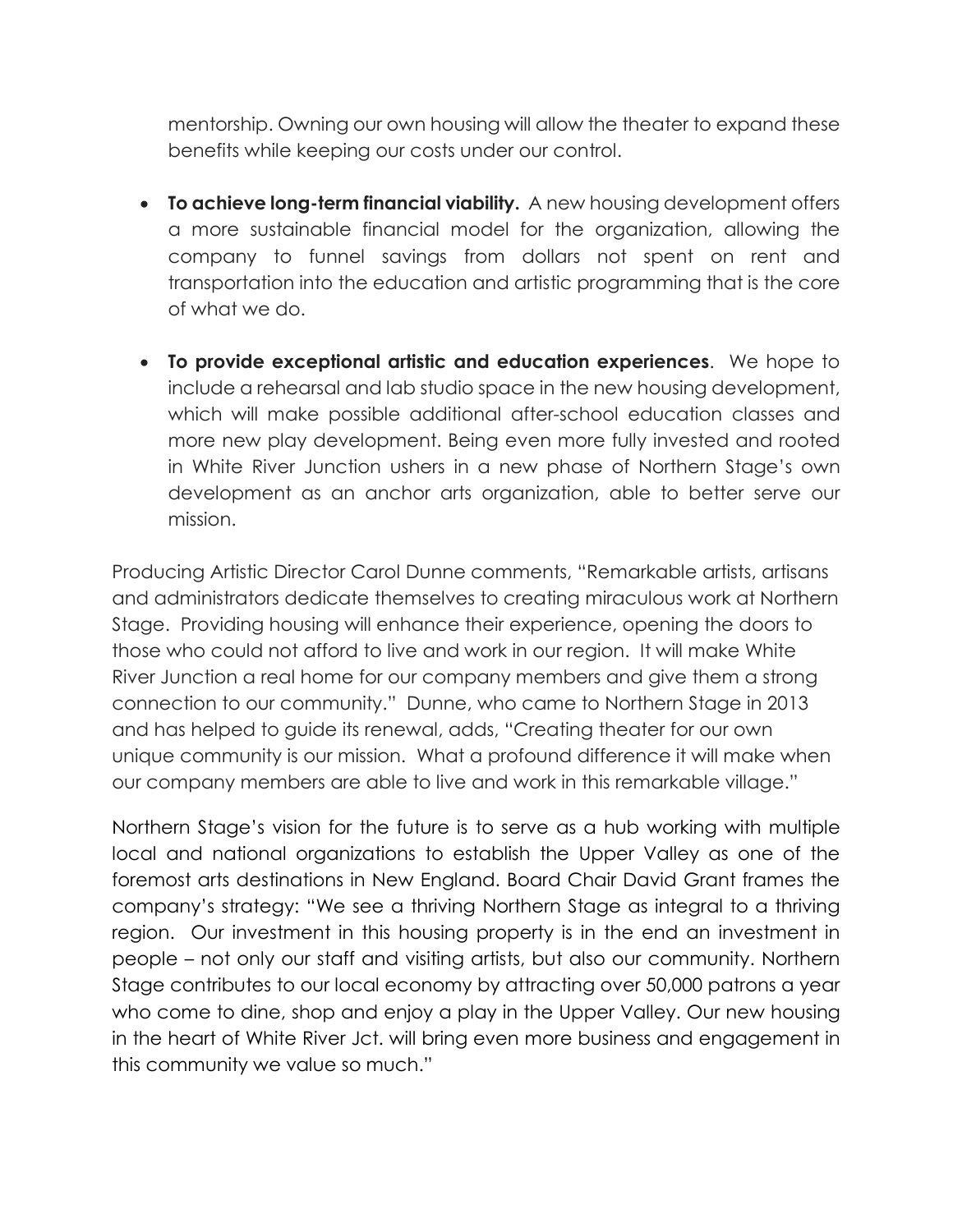mentorship. Owning our own housing will allow the theater to expand these benefits while keeping our costs under our control.

- **To achieve long-term financial viability.** A new housing development offers a more sustainable financial model for the organization, allowing the company to funnel savings from dollars not spent on rent and transportation into the education and artistic programming that is the core of what we do.
- **To provide exceptional artistic and education experiences**. We hope to include a rehearsal and lab studio space in the new housing development, which will make possible additional after-school education classes and more new play development. Being even more fully invested and rooted in White River Junction ushers in a new phase of Northern Stage's own development as an anchor arts organization, able to better serve our mission.

Producing Artistic Director Carol Dunne comments, "Remarkable artists, artisans and administrators dedicate themselves to creating miraculous work at Northern Stage. Providing housing will enhance their experience, opening the doors to those who could not afford to live and work in our region. It will make White River Junction a real home for our company members and give them a strong connection to our community." Dunne, who came to Northern Stage in 2013 and has helped to guide its renewal, adds, "Creating theater for our own unique community is our mission. What a profound difference it will make when our company members are able to live and work in this remarkable village."

Northern Stage's vision for the future is to serve as a hub working with multiple local and national organizations to establish the Upper Valley as one of the foremost arts destinations in New England. Board Chair David Grant frames the company's strategy: "We see a thriving Northern Stage as integral to a thriving region. Our investment in this housing property is in the end an investment in people – not only our staff and visiting artists, but also our community. Northern Stage contributes to our local economy by attracting over 50,000 patrons a year who come to dine, shop and enjoy a play in the Upper Valley. Our new housing in the heart of White River Jct. will bring even more business and engagement in this community we value so much."